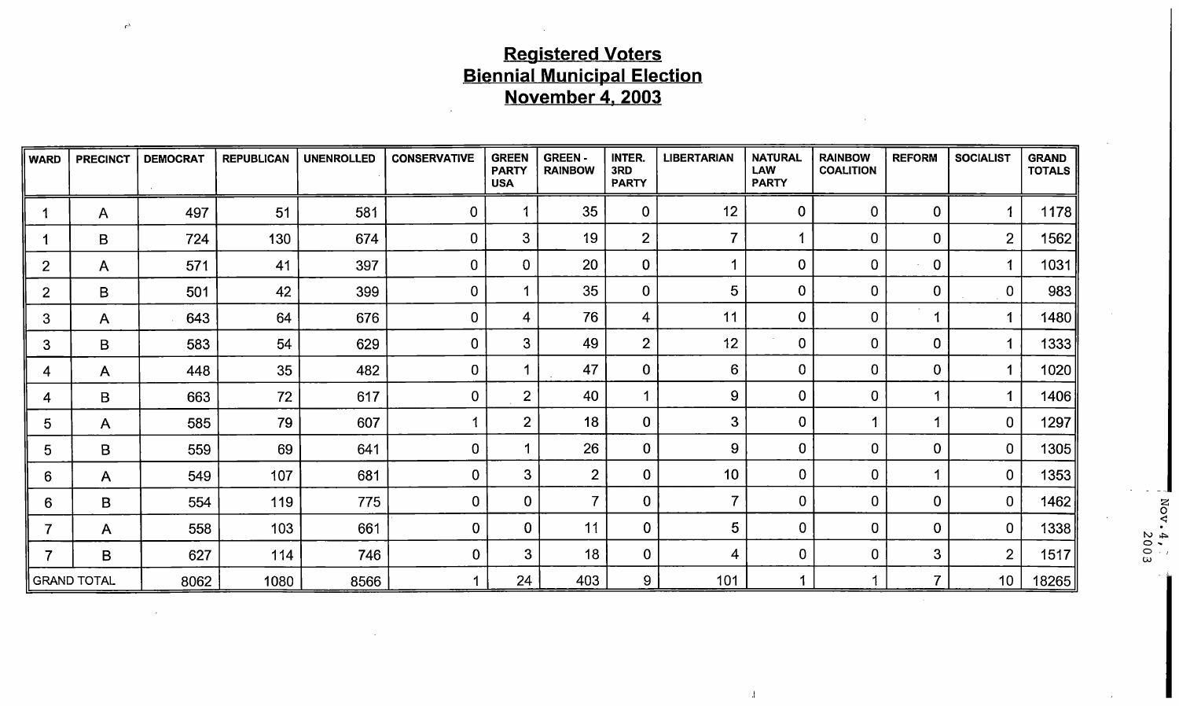# Registered Voters Biennial Municipal Election November 4, 2003

 $\mathcal{L}_{\text{eq}}$ 

 $\sim$ 

| <b>WARD</b>    | <b>PRECINCT</b> | <b>DEMOCRAT</b> | <b>REPUBLICAN</b> | UNENROLLED | <b>CONSERVATIVE</b> | <b>GREEN</b><br><b>PARTY</b><br><b>USA</b> | <b>GREEN-</b><br><b>RAINBOW</b> | INTER.<br>3RD<br><b>PARTY</b> | <b>LIBERTARIAN</b> | <b>NATURAL</b><br><b>LAW</b><br><b>PARTY</b> | <b>RAINBOW</b><br><b>COALITION</b> | <b>REFORM</b>  | <b>SOCIALIST</b>        | <b>GRAND</b><br><b>TOTALS</b> |                  |
|----------------|-----------------|-----------------|-------------------|------------|---------------------|--------------------------------------------|---------------------------------|-------------------------------|--------------------|----------------------------------------------|------------------------------------|----------------|-------------------------|-------------------------------|------------------|
|                | A               | 497             | 51                | 581        | $\overline{0}$      | 1                                          | 35                              | $\mathbf 0$                   | 12                 | $\overline{0}$                               | $\mathbf 0$                        | $\mathbf 0$    | $\overline{A}$          | 1178                          |                  |
|                | B               | 724             | 130               | 674        | $\mathbf 0$         | 3 <sup>1</sup>                             | 19                              | $\overline{2}$                | $\overline{7}$     |                                              | $\mathbf 0$                        | $\mathbf 0$    | $\overline{2}$          | 1562                          |                  |
| 2              | $\mathsf{A}$    | 571             | 41                | 397        | $\mathbf 0$         | $\mathbf 0$                                | 20                              | $\mathbf 0$                   |                    | $\mathbf{0}$                                 | $\mathbf 0$                        | $\mathbf 0$    | -1                      | 1031                          |                  |
| $\overline{2}$ | B               | 501             | 42                | 399        | $\mathbf 0$         |                                            | 35                              | $\overline{0}$                | 5                  | $\mathbf{0}$                                 | $\mathbf 0$                        | $\mathbf 0$    | $\mathbf 0$             | 983                           |                  |
| 3              | A               | 643             | 64                | 676        | $\mathbf 0$         | 4                                          | 76                              | $\overline{4}$                | 11                 | $\mathbf 0$                                  | 0                                  |                | $\mathbf{1}$            | 1480                          |                  |
| 3              | B               | 583             | 54                | 629        | $\overline{0}$      | 3                                          | 49                              | $\overline{2}$                | 12                 | $\overline{0}$                               | $\mathbf 0$                        | $\mathbf 0$    | $\overline{\mathbf{A}}$ | 1333                          |                  |
| 4              | A               | 448             | 35 <sub>2</sub>   | 482        | $\bf{0}$            |                                            | 47                              | $\mathbf 0$                   | 6                  | $\mathbf 0$                                  | $\mathbf 0$                        | $\mathbf 0$    | 1                       | 1020                          |                  |
| 4              | $\mathsf B$     | 663             | 72                | 617        | $\mathbf 0$         | $\overline{2}$                             | 40                              |                               | $\boldsymbol{9}$   | $\mathbf 0$                                  | $\overline{0}$                     |                | $\blacktriangleleft$    | 1406                          |                  |
| 5              | $\mathsf{A}$    | 585             | 79                | 607        |                     | $\overline{2}$                             | 18                              | $\mathbf 0$                   | 3                  | 0                                            |                                    |                | $\overline{0}$          | 1297                          |                  |
| 5              | B               | 559             | 69                | 641        | $\mathbf 0$         |                                            | 26                              | $\mathbf 0$                   | 9                  | $\bf{0}$                                     | $\mathbf 0$                        | $\mathbf 0$    | $\mathbf 0$             | 1305                          |                  |
| 6              | $\mathsf{A}$    | 549             | 107               | 681        | $\mathbf 0$         | 3                                          | $\overline{2}$                  | $\mathbf 0$                   | 10                 | $\mathbf 0$                                  | $\mathbf 0$                        |                | $\mathbf 0$             | 1353                          |                  |
| 6              | B               | 554             | 119               | 775        | $\overline{0}$      | $\mathbf 0$                                | $\overline{7}$                  | $\overline{0}$                | $\overline{7}$     | $\mathbf 0$                                  | $\mathbf 0$                        | $\mathbf 0$    | $\mathbf 0$             | 1462                          | ă                |
|                | A               | 558             | 103               | 661        | $\mathbf 0$         | $\Omega$                                   | 11                              | $\mathbf{0}$                  | 5                  | $\Omega$                                     | $\overline{0}$                     | $\mathbf 0$    | $\mathbf 0$             | 1338                          |                  |
|                | B               | 627             | 114               | 746        | $\mathbf{0}$        | $3\phantom{.0}$                            | 18 <sup>°</sup>                 | $\overline{0}$                | 4                  | $\mathbf 0$                                  | $\bf{0}$                           | 3              | $\overline{2}$          | 1517                          | $\frac{4}{2003}$ |
|                | ∥ GRAND TOTAL   | 8062            | 1080              | 8566       |                     | 24                                         | 403                             | 9 <sup>°</sup>                | 101                |                                              |                                    | $\overline{7}$ | 10                      | 18265                         |                  |

 $\overline{1}$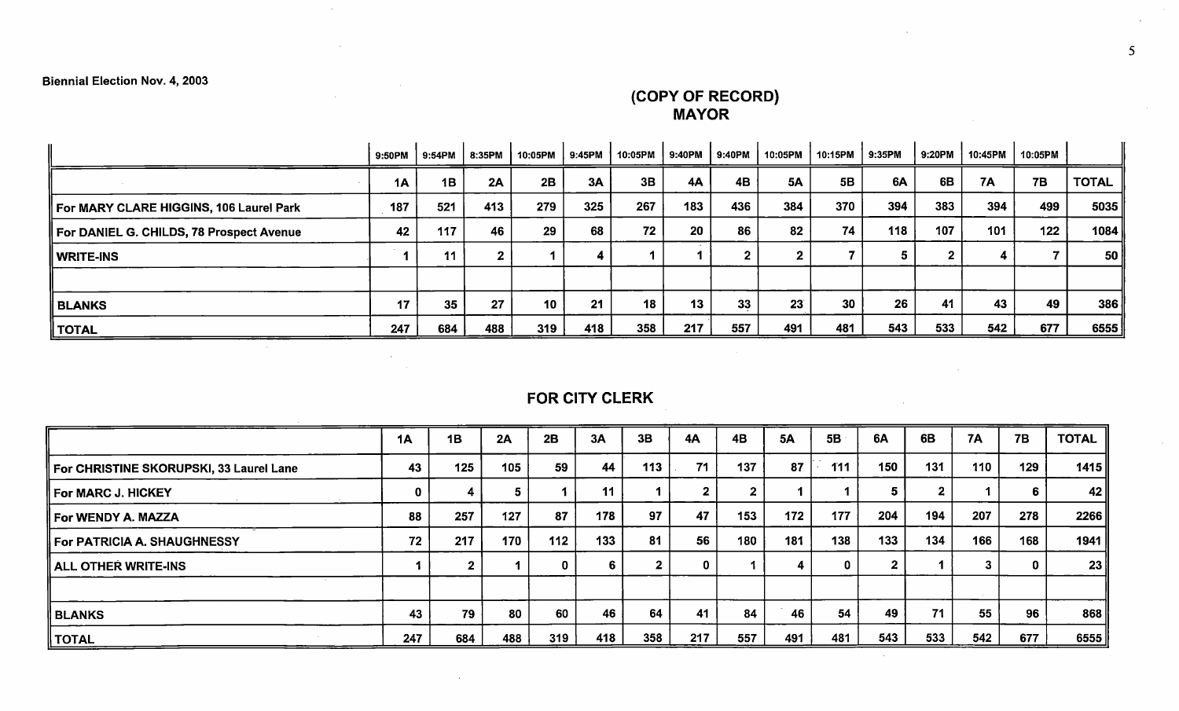COPY OF RECORD) MAYOR

|                                          | 9:50PM | 9:54PM | 8:35PM | 10:05PM         | 9:45PM | 10:05PM | 9:40PM          | 9:40PM | 10:05PM         | 10:15PM | 9:35PM | 9:20PM | 10:45PM | 10:05PM   |              |
|------------------------------------------|--------|--------|--------|-----------------|--------|---------|-----------------|--------|-----------------|---------|--------|--------|---------|-----------|--------------|
|                                          | 1A     | 1B     | 2A     | 2B              | 3A     | 3B      | 4A              | 4B     | <b>5A</b>       | 5B      | 6A     | 6B     | 7A      | <b>7B</b> | <b>TOTAL</b> |
| For MARY CLARE HIGGINS, 106 Laurel Park  | 187    | 521    | 413    | 279             | 325    | 267     | 183             | 436    | 384             | 370     | 394    | 383    | 394     | 499       | 5035         |
| For DANIEL G. CHILDS, 78 Prospect Avenue | 42     | 117    | 46     | 29              | 68     | 72      | 20              | 86     | 82              | 74      | 118    | 107    | 101     | 122       | 1084         |
| ∥ WRITE-INS                              |        | 11     |        |                 |        |         |                 |        |                 |         |        |        |         |           | 50           |
|                                          |        |        |        |                 |        |         |                 |        |                 |         |        |        |         |           |              |
| <b>BLANKS</b>                            | 17     | 35     | 27     | 10 <sup>1</sup> | 21     | 18      | 13 <sup>1</sup> | 33     | 23 <sup>°</sup> | 30      | 26     | 41     | 43      | 49        | 386          |
| $\parallel$ TOTAL                        | 247    | 684    | 488    | 319             | 418    | 358     | 217             | 557    | 491             | 481     | 543    | 533    | 542     | 677       | 6555         |

# FOR CITY CLERK

|                                         | 1A  | 1B  | 2A  | 2B           | 3A  | 3B  | <b>4A</b> | <b>4B</b> | <b>5A</b> | 5B  | 6A  | 6 <b>B</b> | <b>7A</b> | 7B  | <b>TOTAL</b> |
|-----------------------------------------|-----|-----|-----|--------------|-----|-----|-----------|-----------|-----------|-----|-----|------------|-----------|-----|--------------|
| For CHRISTINE SKORUPSKI, 33 Laurel Lane | 43  | 125 | 105 | 59           | 44  | 113 | 71        | 137       | 87        | 111 | 150 | 131        | 110       | 129 | 1415         |
| For MARC J. HICKEY                      |     |     |     |              | 11  |     |           |           |           |     | 5   |            |           | 6   | 42 II        |
| For WENDY A. MAZZA                      | 88  | 257 | 127 | 87           | 178 | 97  | 47        | 153       | 172       | 177 | 204 | 194        | 207       | 278 | 2266         |
| For PATRICIA A. SHAUGHNESSY             | 72  | 217 | 170 | 112          | 133 | 81  | 56        | 180       | 181       | 138 | 133 | 134        | 166       | 168 | 1941 ∥       |
| ALL OTHER WRITE-INS                     |     |     |     | $\mathbf{0}$ |     |     |           |           |           | 0   |     |            |           | 0   | 23           |
|                                         |     |     |     |              |     |     |           |           |           |     |     |            |           |     |              |
| ∥ BLANKS                                | 43  | 79  | 80  | 60           | 46  | 64  | 41        | 84        | 46        | 54  | 49  | 71         | 55        | 96  | 868          |
| TOTAL                                   | 247 | 684 | 488 | 319          | 418 | 358 | 217       | 557       | 491       | 481 | 543 | 533        | 542       | 677 | 6555         |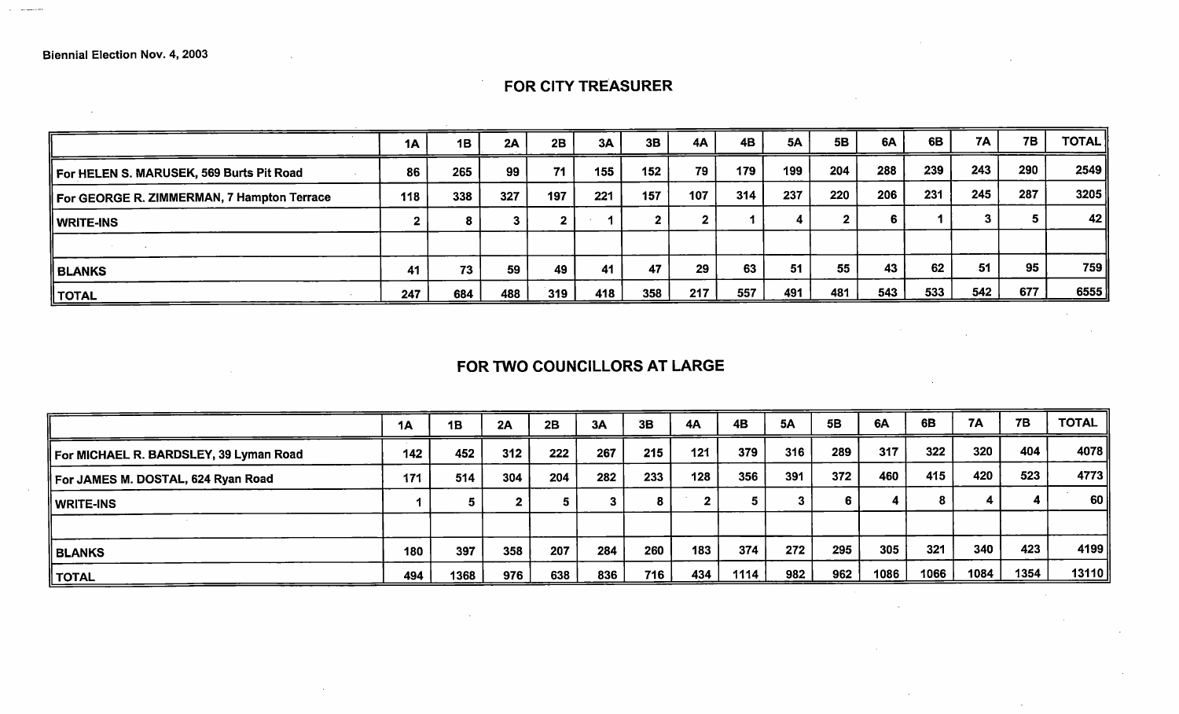$\sim$   $\sim$ 

### 7A 7B | TOTAL 1A | 1B | 2A | 2B | 3A | 3B | 4A | 4B | 5A | 5B | 6A | 6B | 1 For HELEN S. MARUSEK, 569 Burts Pit Road 86 265 99 <sup>71</sup> 155 152 79 179 199 204 288 239 243 290 2549  $\vert$  For GEORGE R. ZIMMERMAN, 7 Hampton Terrace  $\vert$  118  $\vert$  338  $\vert$  327  $\vert$  197  $\vert$  221  $\vert$  157  $\vert$  107  $\vert$  314  $\vert$  237  $\vert$  220  $\vert$  206  $\vert$  231  $\vert$  245  $\vert$  287  $\vert$  3205  $\vert$ WRITE-INS <sup>2</sup> <sup>8</sup> <sup>3</sup> <sup>2</sup> <sup>1</sup> <sup>2</sup> <sup>2</sup> <sup>1</sup> <sup>4</sup> <sup>2</sup> <sup>6</sup> <sup>1</sup> <sup>3</sup> <sup>5</sup> 42  $\sim 100$ BLANKS <sup>41</sup> <sup>73</sup> <sup>59</sup> <sup>49</sup> <sup>41</sup> <sup>47</sup> <sup>29</sup> <sup>63</sup> <sup>51</sup> <sup>55</sup> <sup>43</sup> <sup>62</sup> <sup>51</sup> <sup>95</sup> 759 TOTAL 247 684 488 319 418 358 217 557 <sup>491</sup> <sup>481</sup> 543 533 542 677 6555

#### FOR CITY TREASURER

## FOR TWO COUNCILLORS AT LARGE

|                                        | <b>1A</b> | 1B   | 2A  | 2B  | 3A  | 3B  | 4A  | 4B   | <b>5A</b> | 5B  | 6A   | 6B   | <b>7A</b> | 7B   | <b>TOTAL</b>    |
|----------------------------------------|-----------|------|-----|-----|-----|-----|-----|------|-----------|-----|------|------|-----------|------|-----------------|
| For MICHAEL R. BARDSLEY, 39 Lyman Road | 142       | 452  | 312 | 222 | 267 | 215 | 121 | 379  | 316       | 289 | 317  | 322  | 320       | 404  | 4078            |
| For JAMES M. DOSTAL, 624 Ryan Road     | 171       | 514  | 304 | 204 | 282 | 233 | 128 | 356  | 391       | 372 | 460  | 415  | 420       | 523  | 4773            |
| WRITE-INS                              |           |      |     |     |     |     | ^   | э    |           | 6.  |      | 8.   |           |      | 60 <sub>1</sub> |
|                                        |           |      |     |     |     |     |     |      |           |     |      |      |           |      |                 |
| ∥ BLANKS                               | 180       | 397  | 358 | 207 | 284 | 260 | 183 | 374  | 272       | 295 | 305  | 321  | 340       | 423  | 4199            |
| ∥ TOTAL ∣                              | 494       | 1368 | 976 | 638 | 836 | 716 | 434 | 1114 | 982       | 962 | 1086 | 1066 | 1084      | 1354 | 13110∥          |

 $\sim$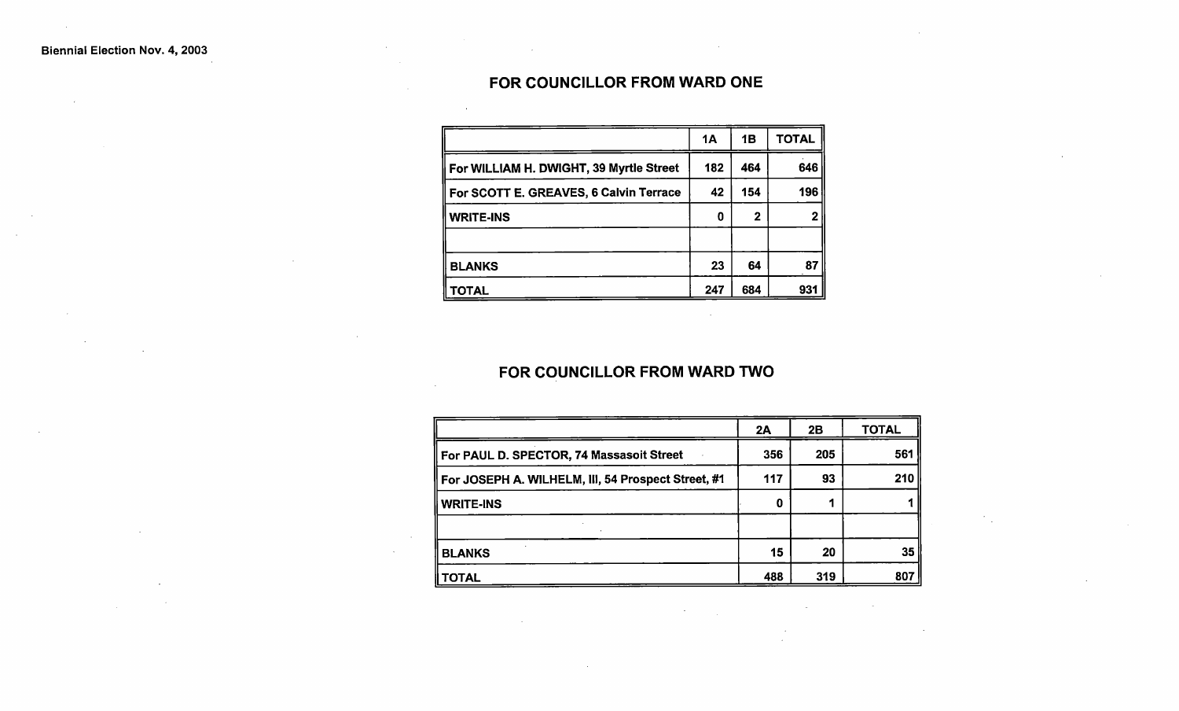## FOR COUNCILLOR FROM WARD ONE

|                                         | 1Α  | 1Β          | <b>TOTAL</b> |
|-----------------------------------------|-----|-------------|--------------|
| For WILLIAM H. DWIGHT, 39 Myrtle Street | 182 | 464         | 646          |
| For SCOTT E. GREAVES, 6 Calvin Terrace  | 42  | 154         | 196          |
| <b>WRITE-INS</b>                        | 0   | $\mathbf 2$ |              |
|                                         |     |             |              |
| <b>BLANKS</b>                           | 23  | 64          | 87           |
| TOTAL                                   | 247 | 684         | 931          |

### FOR COUNCILLOR FROM WARD TWO

|                                                    | 2A  | 2B  | <b>TOTAL</b> |
|----------------------------------------------------|-----|-----|--------------|
| For PAUL D. SPECTOR, 74 Massasoit Street           | 356 | 205 | 561          |
| For JOSEPH A. WILHELM, III, 54 Prospect Street, #1 | 117 | 93  | 210          |
| <b>WRITE-INS</b>                                   | 0   |     |              |
|                                                    |     |     |              |
| <b>BLANKS</b>                                      | 15  | 20  | 35           |
| TOTAL                                              | 488 | 319 | 807          |

 $\mathcal{L}$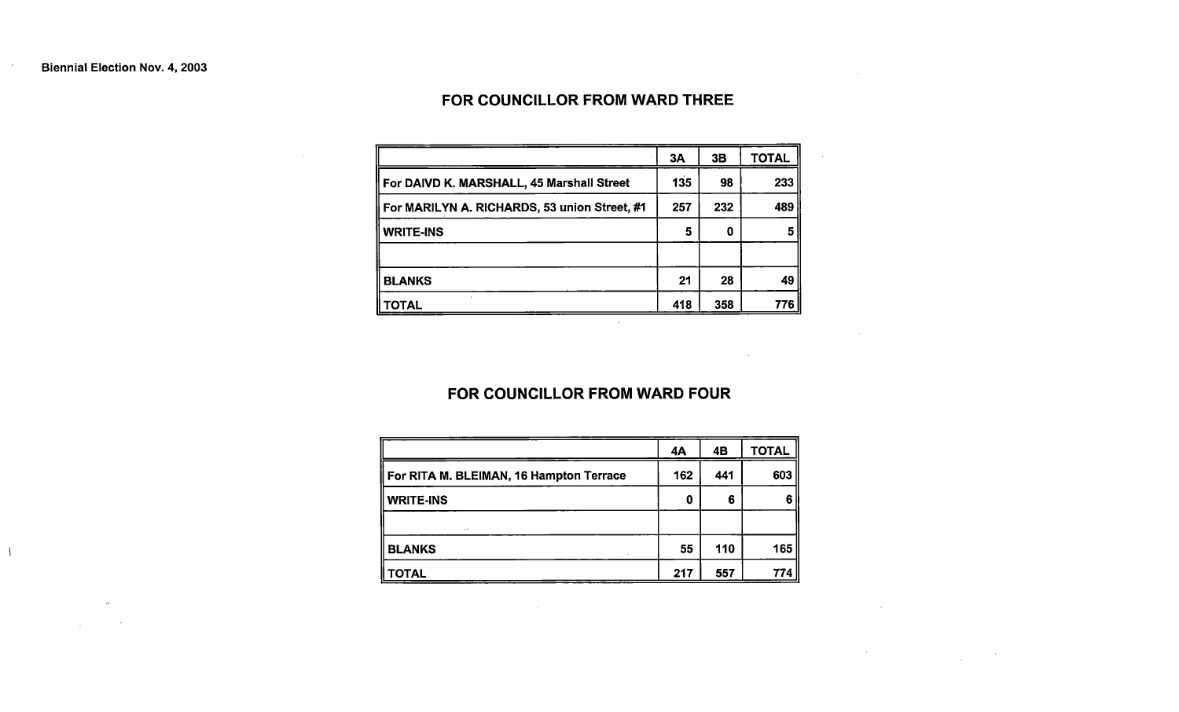$\overline{\phantom{a}}$ 

 $\sim 10^{-1}$ 

 $\mathcal{L}_{\mathcal{A}}$  and  $\mathcal{L}_{\mathcal{A}}$  and  $\mathcal{L}_{\mathcal{A}}$ 

## FOR COUNCILLOR FROM WARD THREE

 $\sim 10^7$ 

**Contract Contract State** 

 $\sim 100$  km s

 $\label{eq:2.1} \mathcal{L}^{\mathcal{A}}(\mathcal{A})=\mathcal{L}^{\mathcal{A}}(\mathcal{A})\otimes\mathcal{L}^{\mathcal{A}}(\mathcal{A})\otimes\mathcal{L}^{\mathcal{A}}(\mathcal{A})\otimes\mathcal{L}^{\mathcal{A}}(\mathcal{A})$ 

 $\label{eq:2.1} \mathcal{L}(\mathcal{L}^{\text{max}}_{\mathcal{L}}(\mathcal{L}^{\text{max}}_{\mathcal{L}}),\mathcal{L}^{\text{max}}_{\mathcal{L}^{\text{max}}_{\mathcal{L}}})$ 

|                                              | 3A  | 3B  | <b>TOTAL</b> |
|----------------------------------------------|-----|-----|--------------|
| For DAIVD K. MARSHALL, 45 Marshall Street    | 135 | 98  | 233          |
| For MARILYN A. RICHARDS, 53 union Street, #1 | 257 | 232 | 489          |
| <b>WRITE-INS</b>                             | 5   | 0   | 5            |
|                                              |     |     |              |
| <b>BLANKS</b>                                | 21  | 28  | 49           |
| OTAL.                                        | 418 | 358 | 776          |

#### FOR COUNCILLOR FROM WARD FOUR

 $\sim 10^{-1}$ 

|                                         | 4Α  | 4B  | <b>TOTAL</b> |
|-----------------------------------------|-----|-----|--------------|
| For RITA M. BLEIMAN, 16 Hampton Terrace | 162 | 441 | 603          |
| <b>WRITE-INS</b>                        | 0   | 6   | 6            |
| $\epsilon$                              |     |     |              |
| <b>BLANKS</b>                           | 55  | 110 | 165          |
| <b>TOTAL</b>                            | 217 | 557 | 774          |

 $\mathcal{L}^{\text{max}}_{\text{max}}$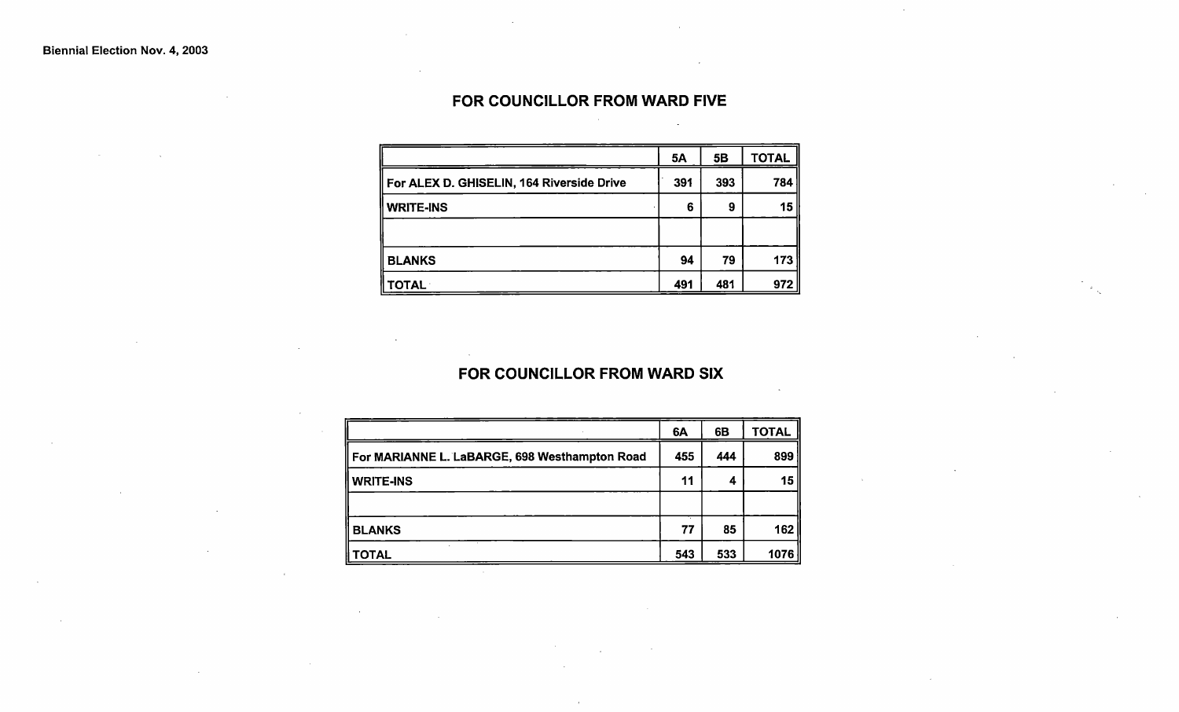## FOR COUNCILLOR FROM WARD FIVE

|                                           | 5A  | 5B  | <b>TOTAL</b> |
|-------------------------------------------|-----|-----|--------------|
| For ALEX D. GHISELIN, 164 Riverside Drive | 391 | 393 | 784          |
| <b>WRITE-INS</b>                          | 6   | 9   | 15           |
|                                           |     |     |              |
| <b>BLANKS</b>                             | 94  | 79  | 173          |
| <b>TOTAL</b>                              | 491 | 481 | 972          |

### FOR COUNCILLOR FROM WARD SIX

|                                               | 6A  | 6B  | <b>TOTAL</b> |
|-----------------------------------------------|-----|-----|--------------|
| For MARIANNE L. LaBARGE, 698 Westhampton Road | 455 | 444 | 899          |
| WRITE-INS                                     | 11  | 4   | 15           |
|                                               |     |     |              |
| <b>BLANKS</b>                                 | 77  | 85  | 162          |
| <b>OTAL</b>                                   | 543 | 533 | 1076         |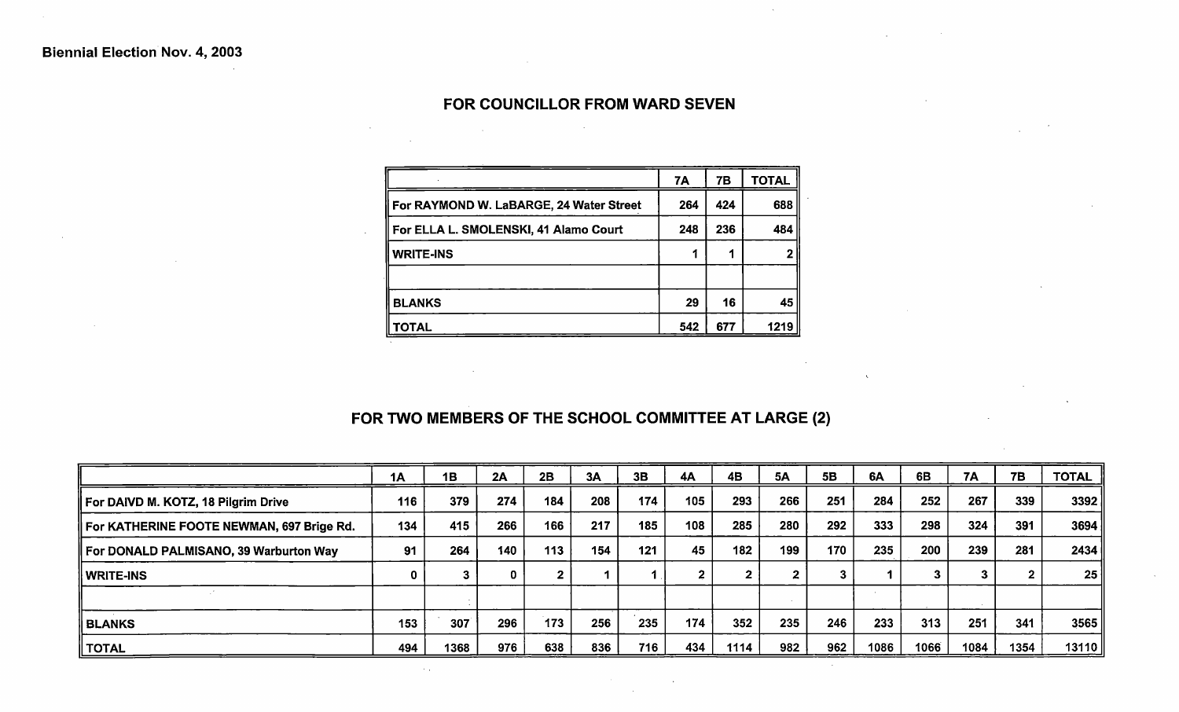### FOR COUNCILLOR FROM WARD SEVEN

 $\mathcal{L}^{\mathcal{L}}(\mathcal{L}^{\mathcal{L}})$  and  $\mathcal{L}^{\mathcal{L}}(\mathcal{L}^{\mathcal{L}})$  and  $\mathcal{L}^{\mathcal{L}}(\mathcal{L}^{\mathcal{L}})$  and  $\mathcal{L}^{\mathcal{L}}(\mathcal{L}^{\mathcal{L}})$ 

 $\sim$ 

 $\sim 10^{11}$ 

|                                         | 7A  | 7В  | <b>TOTAL</b> |
|-----------------------------------------|-----|-----|--------------|
| For RAYMOND W. LaBARGE, 24 Water Street | 264 | 424 | 688          |
| For ELLA L. SMOLENSKI, 41 Alamo Court   | 248 | 236 | 484          |
| I WRITE-INS                             |     |     |              |
|                                         |     |     |              |
| <b>BLANKS</b>                           | 29  | 16  | 45           |
| <b>TOTAL</b>                            | 542 | 677 | 1219         |

# FOR TWO MEMBERS OF THE SCHOOL COMMITTEE AT LARGE (2)

 $\mathbf{v}$ 

 $\sim 10^{-1}$ 

|                                           | 1A  | 1B   | 2A  | 2B  | 3A  | 3B  | 4A  | 4B   | 5A           | 5B  | 6A   | 6B   | <b>7A</b> | <b>7B</b> | <b>TOTAL</b> |
|-------------------------------------------|-----|------|-----|-----|-----|-----|-----|------|--------------|-----|------|------|-----------|-----------|--------------|
| For DAIVD M. KOTZ, 18 Pilgrim Drive       | 116 | 379  | 274 | 184 | 208 | 174 | 105 | 293  | 266          | 251 | 284  | 252  | 267       | 339       | 3392         |
| For KATHERINE FOOTE NEWMAN, 697 Brige Rd. | 134 | 415  | 266 | 166 | 217 | 185 | 108 | 285  | 280          | 292 | 333  | 298  | 324       | 391       | 3694         |
| For DONALD PALMISANO, 39 Warburton Way    | 91  | 264  | 140 | 113 | 154 | 121 | 45  | 182  | 199          | 170 | 235  | 200  | 239       | 281       | 2434         |
| WRITE-INS                                 | 0   |      |     |     |     |     |     |      | $\mathbf{2}$ |     |      |      | ≏<br>J    |           | 25           |
|                                           |     |      |     |     |     |     |     |      |              |     |      |      |           |           |              |
| ∥ BLANKS                                  | 153 | 307  | 296 | 173 | 256 | 235 | 174 | 352  | 235          | 246 | 233  | 313  | 251       | 341       | 3565         |
| TOTAL                                     | 494 | 1368 | 976 | 638 | 836 | 716 | 434 | 1114 | 982          | 962 | 1086 | 1066 | 1084      | 1354      | 13110        |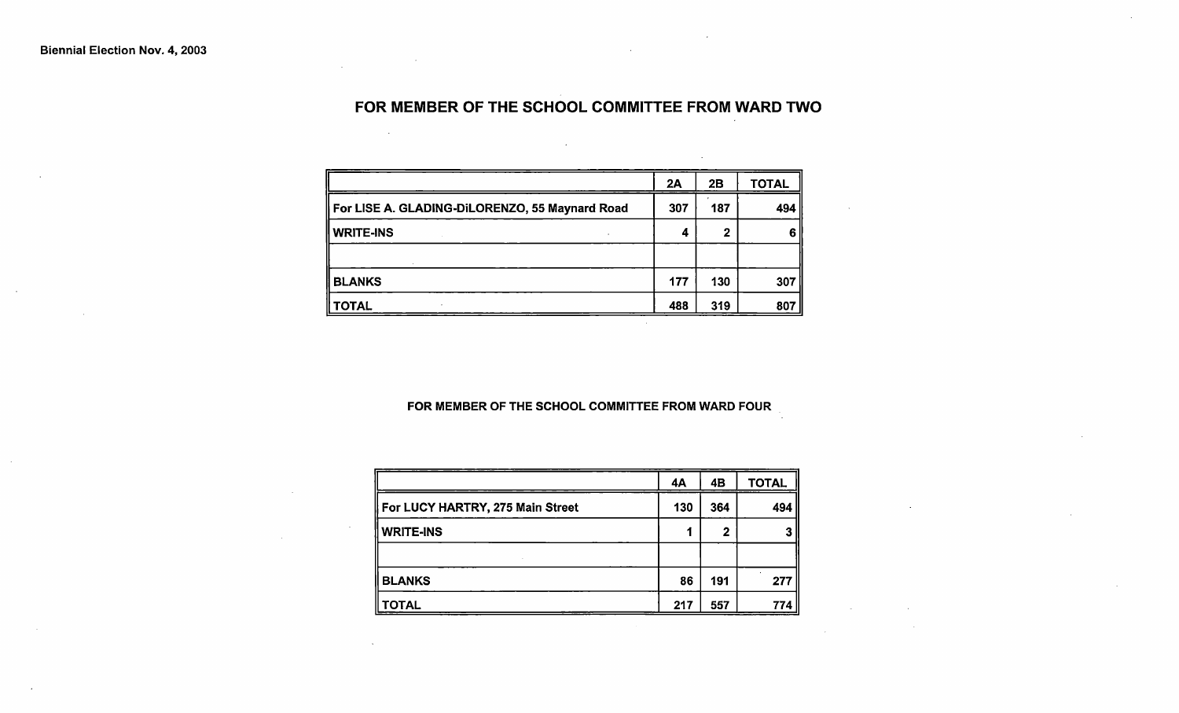# FOR MEMBER OF THE SCHOOL COMMITTEE FROM WARD TWO

|                                                | 2A  | 2B  | <b>TOTAL</b> |
|------------------------------------------------|-----|-----|--------------|
| For LISE A. GLADING-DILORENZO, 55 Maynard Road | 307 | 187 | 494          |
| <b>WRITE-INS</b>                               | 4   |     | 6            |
|                                                |     |     |              |
| <b>BLANKS</b>                                  | 177 | 130 | 307          |
| <b>TOTAL</b>                                   | 488 | 319 | 807          |

#### FOR MEMBER OF THE SCHOOL COMMITTEE FROM WARD FOUR

|                                  | 4A  | 4Β  | <b>TOTAL</b> |
|----------------------------------|-----|-----|--------------|
| For LUCY HARTRY, 275 Main Street | 130 | 364 | 494          |
| <b>WRITE-INS</b>                 |     | 2   |              |
|                                  |     |     |              |
| <b>BLANKS</b>                    | 86  | 191 | 277          |
| <b>TOTAL</b>                     | 217 | 557 | 774          |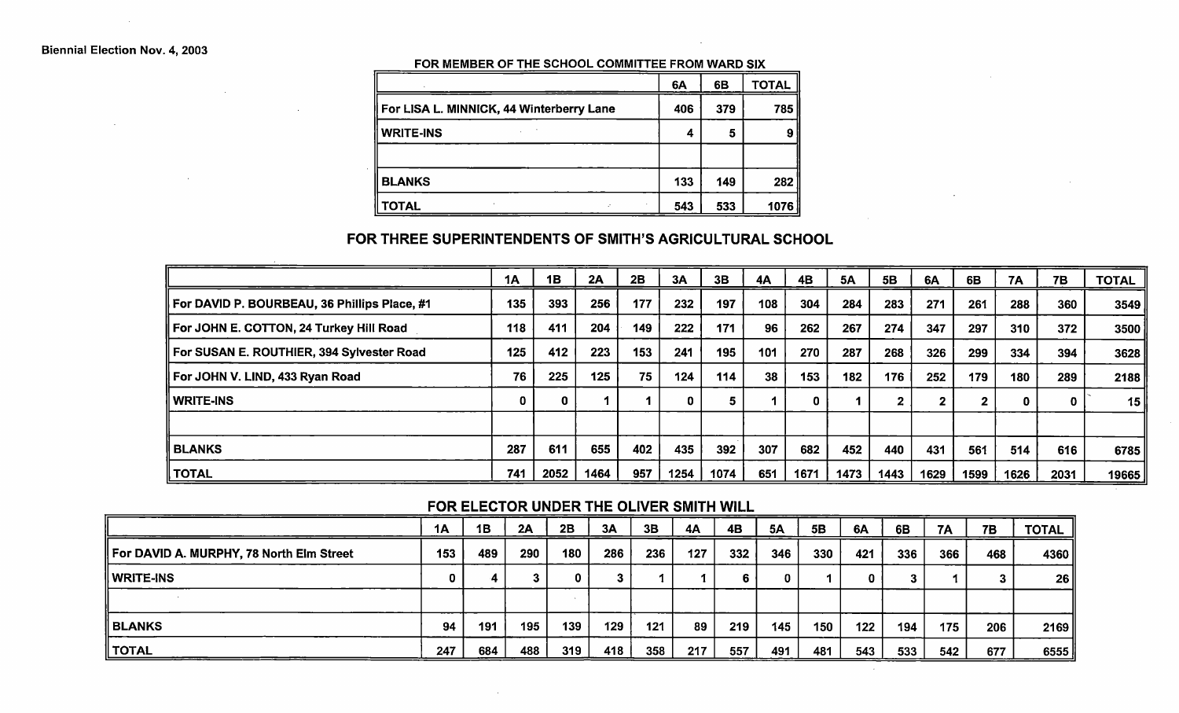#### FOR MEMBER OF THE SCHOOL COMMITTEE FROM WARD SIX

|                                          | 6A  | 6B  | <b>TOTAL</b> |
|------------------------------------------|-----|-----|--------------|
| For LISA L. MINNICK, 44 Winterberry Lane | 406 | 379 | 785          |
| <b>WRITE-INS</b>                         | 4   | 5   |              |
|                                          |     |     |              |
| <b>BLANKS</b>                            | 133 | 149 | 282          |
| <b>TOTAL</b>                             | 543 | 533 | 1076         |

#### FOR THREE SUPERINTENDENTS OF SMITH'S AGRICULTURAL SCHOOL

|                                              | 1A  | 1B   | 2A   | 2B  | 3A   | 3B   | 4A  | <b>4B</b> | <b>5A</b> | 5B           | 6A   | 6B           | 7A   | <b>7B</b> | <b>TOTAL</b> |
|----------------------------------------------|-----|------|------|-----|------|------|-----|-----------|-----------|--------------|------|--------------|------|-----------|--------------|
| For DAVID P. BOURBEAU, 36 Phillips Place, #1 | 135 | 393  | 256  | 177 | 232  | 197  | 108 | 304       | 284       | 283          | 271  | 261          | 288  | 360       | 3549         |
| For JOHN E. COTTON, 24 Turkey Hill Road      | 118 | 411  | 204  | 149 | 222  | 171  | 96  | 262       | 267       | 274          | 347  | 297          | 310  | 372       | 3500         |
| For SUSAN E. ROUTHIER, 394 Sylvester Road    | 125 | 412  | 223  | 153 | 241  | 195  | 101 | 270       | 287       | 268          | 326  | 299          | 334  | 394       | 3628         |
| For JOHN V. LIND, 433 Ryan Road              | 76  | 225  | 125  | 75  | 124  | 114  | 38  | 153       | 182       | 176          | 252  | 179          | 180  | 289       | 2188         |
| <b>WRITE-INS</b>                             | 0   | 0    |      |     | 0    |      |     | 0         |           | $\mathbf{2}$ |      | $\mathbf{2}$ | 0    |           | 15           |
|                                              |     |      |      |     |      |      |     |           |           |              |      |              |      |           |              |
| <b>BLANKS</b>                                | 287 | 611  | 655  | 402 | 435  | 392  | 307 | 682       | 452       | 440          | 431  | 561          | 514  | 616       | 6785         |
| <b>TOTAL</b>                                 | 741 | 2052 | 1464 | 957 | 1254 | 1074 | 651 | 1671      | 1473      | 1443         | 1629 | 1599         | 1626 | 2031      | 19665        |

 $\sim 10^{-1}$ 

#### FOR ELECTOR UNDER THE OLIVER SMITH WILL

|                                          | 1A  | 1B  | 2A  | 2B  | 3A  | 3B  | 4A  | 4B  | <b>5A</b> | 5B  | 6A  | 6B  | 7A  | 7B  | <b>TOTAL</b> |
|------------------------------------------|-----|-----|-----|-----|-----|-----|-----|-----|-----------|-----|-----|-----|-----|-----|--------------|
| For DAVID A. MURPHY, 78 North Elm Street | 153 | 489 | 290 | 180 | 286 | 236 | 127 | 332 | 346       | 330 | 421 | 336 | 366 | 468 | 4360         |
| ∥ WRITE-INS                              |     |     |     | 0   | 3   |     |     |     |           |     |     |     |     |     | 26           |
|                                          |     |     |     |     |     |     |     |     |           |     |     |     |     |     |              |
| <b>BLANKS</b>                            | 94  | 191 | 195 | 139 | 129 | 121 | 89  | 219 | 145       | 150 | 122 | 194 | 175 | 206 | 2169         |
| ' TOTAL                                  | 247 | 684 | 488 | 319 | 418 | 358 | 217 | 557 | 491       | 481 | 543 | 533 | 542 | 677 | 6555         |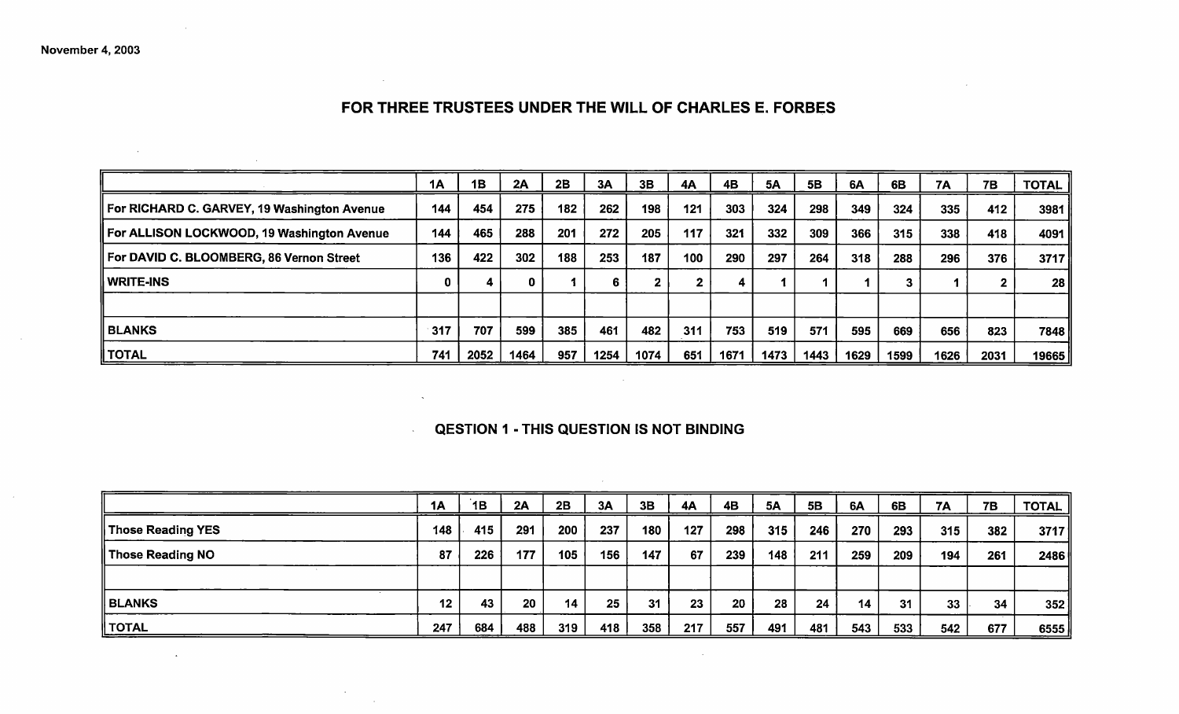# FOR THREE TRUSTEES UNDER THE WILL OF CHARLES E. FORBES

 $\mathcal{L}^{\text{max}}_{\text{max}}$  and  $\mathcal{L}^{\text{max}}_{\text{max}}$ 

 $\sim$ 

 $\Delta$ 

 $\sim$   $\sim$ 

 $\sim 10^7$ 

|                                             | 1A          | 1B   | 2A   | 2B  | 3A   | 3B   | 4A  | <b>4B</b> | <b>5A</b> | 5B   | 6A   | 6B   | 7A   | 7B   | <b>TOTAL</b> |
|---------------------------------------------|-------------|------|------|-----|------|------|-----|-----------|-----------|------|------|------|------|------|--------------|
| For RICHARD C. GARVEY, 19 Washington Avenue | 144         | 454  | 275  | 182 | 262  | 198  | 121 | 303       | 324       | 298  | 349  | 324  | 335  | 412  | 3981         |
| For ALLISON LOCKWOOD, 19 Washington Avenue  | 144         | 465  | 288  | 201 | 272  | 205  | 117 | 321       | 332       | 309  | 366  | 315  | 338  | 418  | 4091         |
| For DAVID C. BLOOMBERG, 86 Vernon Street    | 136         | 422  | 302  | 188 | 253  | 187  | 100 | 290       | 297       | 264  | 318  | 288  | 296  | 376  | 3717         |
| <b>WRITE-INS</b>                            | $\mathbf 0$ |      |      |     | 6    | ີ    |     | 4         |           |      |      |      |      |      | 28           |
|                                             |             |      |      |     |      |      |     |           |           |      |      |      |      |      |              |
| <b>BLANKS</b>                               | 317         | 707  | 599  | 385 | 461  | 482  | 311 | 753       | 519       | 571  | 595  | 669  | 656  | 823  | 7848         |
| <b>TOTAL</b>                                | 741         | 2052 | 1464 | 957 | 1254 | 1074 | 651 | 1671      | 1473      | 1443 | 1629 | 1599 | 1626 | 2031 | 19665        |

#### QESTION 1 - THIS QUESTION IS NOT BINDING

 $\sim 10^{11}$ 

|                   | 1A  | 1B  | 2A  | 2B  | 3A  | 3B  | 4A  | 4B  | 5A  | 5B  | 6A  | 6B  | <b>7A</b> | 7B  | <b>TOTAL</b> |
|-------------------|-----|-----|-----|-----|-----|-----|-----|-----|-----|-----|-----|-----|-----------|-----|--------------|
| Those Reading YES | 148 | 415 | 291 | 200 | 237 | 180 | 127 | 298 | 315 | 246 | 270 | 293 | 315       | 382 | 3717         |
| Those Reading NO  | 87  | 226 | 177 | 105 | 156 | 147 | 67  | 239 | 148 | 211 | 259 | 209 | 194       | 261 | 2486         |
|                   |     |     |     |     |     |     |     |     |     |     |     |     |           |     |              |
| <b>BLANKS</b>     | 12  | 43  | 20  | 14  | 25  | 31  | 23  | 20  | 28  | 24  | 14  | 31  | 33        | 34  | 352          |
| <b>TOTAL</b>      | 247 | 684 | 488 | 319 | 418 | 358 | 217 | 557 | 491 | 481 | 543 | 533 | 542       | 677 | 6555         |

 $\sim 100$  km s  $^{-1}$ 

 $\sim 10^{-1}$ 

 $\sim$ 

 $\sim$ 

 $\sim 100$